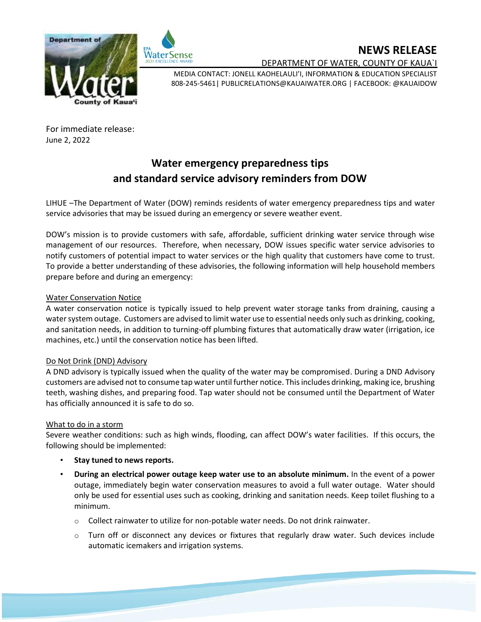## **NEWS RELEASE**





DEPARTMENT OF WATER, COUNTY OF KAUA`I

MEDIA CONTACT: JONELL KAOHELAULI'I, INFORMATION & EDUCATION SPECIALIST 808-245-5461| PUBLICRELATIONS@KAUAIWATER.ORG | FACEBOOK: @KAUAIDOW

For immediate release: June 2, 2022

# **Water emergency preparedness tips and standard service advisory reminders from DOW**

LIHUE –The Department of Water (DOW) reminds residents of water emergency preparedness tips and water service advisories that may be issued during an emergency or severe weather event.

DOW's mission is to provide customers with safe, affordable, sufficient drinking water service through wise management of our resources. Therefore, when necessary, DOW issues specific water service advisories to notify customers of potential impact to water services or the high quality that customers have come to trust. To provide a better understanding of these advisories, the following information will help household members prepare before and during an emergency:

## Water Conservation Notice

A water conservation notice is typically issued to help prevent water storage tanks from draining, causing a water system outage. Customers are advised to limit water use to essential needs only such as drinking, cooking, and sanitation needs, in addition to turning-off plumbing fixtures that automatically draw water (irrigation, ice machines, etc.) until the conservation notice has been lifted.

### Do Not Drink (DND) Advisory

A DND advisory is typically issued when the quality of the water may be compromised. During a DND Advisory customers are advised not to consume tap water until further notice. This includes drinking, making ice, brushing teeth, washing dishes, and preparing food. Tap water should not be consumed until the Department of Water has officially announced it is safe to do so.

### What to do in a storm

Severe weather conditions: such as high winds, flooding, can affect DOW's water facilities. If this occurs, the following should be implemented:

- **Stay tuned to news reports.**
- **During an electrical power outage keep water use to an absolute minimum.** In the event of a power outage, immediately begin water conservation measures to avoid a full water outage. Water should only be used for essential uses such as cooking, drinking and sanitation needs. Keep toilet flushing to a minimum.
	- $\circ$  Collect rainwater to utilize for non-potable water needs. Do not drink rainwater.
	- $\circ$  Turn off or disconnect any devices or fixtures that regularly draw water. Such devices include automatic icemakers and irrigation systems.